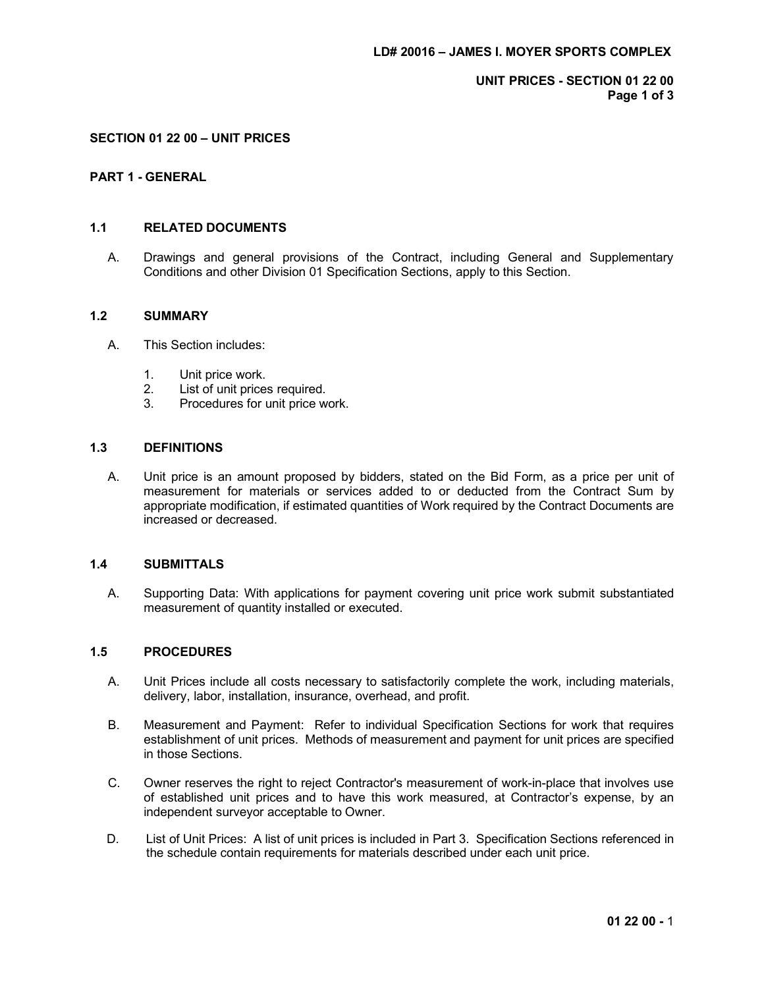UNIT PRICES - SECTION 01 22 00 Page 1 of 3

#### SECTION 01 22 00 – UNIT PRICES

#### PART 1 - GENERAL

#### 1.1 RELATED DOCUMENTS

A. Drawings and general provisions of the Contract, including General and Supplementary Conditions and other Division 01 Specification Sections, apply to this Section.

#### 1.2 SUMMARY

- A. This Section includes:
	- 1. Unit price work.
	- 2. List of unit prices required.
	- 3. Procedures for unit price work.

## 1.3 DEFINITIONS

A. Unit price is an amount proposed by bidders, stated on the Bid Form, as a price per unit of measurement for materials or services added to or deducted from the Contract Sum by appropriate modification, if estimated quantities of Work required by the Contract Documents are increased or decreased.

#### 1.4 SUBMITTALS

A. Supporting Data: With applications for payment covering unit price work submit substantiated measurement of quantity installed or executed.

#### 1.5 PROCEDURES

- A. Unit Prices include all costs necessary to satisfactorily complete the work, including materials, delivery, labor, installation, insurance, overhead, and profit.
- B. Measurement and Payment: Refer to individual Specification Sections for work that requires establishment of unit prices. Methods of measurement and payment for unit prices are specified in those Sections.
- C. Owner reserves the right to reject Contractor's measurement of work-in-place that involves use of established unit prices and to have this work measured, at Contractor's expense, by an independent surveyor acceptable to Owner.
- D. List of Unit Prices: A list of unit prices is included in Part 3. Specification Sections referenced in the schedule contain requirements for materials described under each unit price.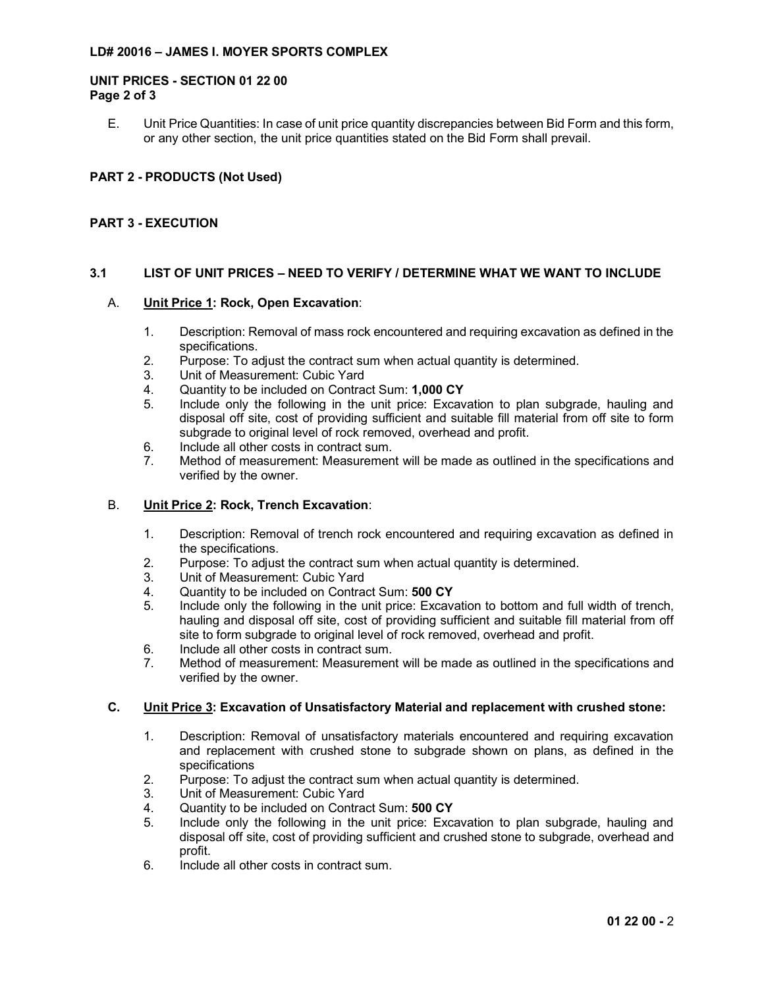## LD# 20016 – JAMES I. MOYER SPORTS COMPLEX

#### UNIT PRICES - SECTION 01 22 00 Page 2 of 3

E. Unit Price Quantities: In case of unit price quantity discrepancies between Bid Form and this form, or any other section, the unit price quantities stated on the Bid Form shall prevail. 6 - JAMES I. MOYER SPORTS COMPLEX<br>CES - SECTION 01 22 00<br>13<br>Unit Price Quantities: In case of unit price quantity discrepancies between Bid Form and this form,<br>or any other section, the unit price quantities stated on the

# PART 2 - PRODUCTS (Not Used)

## PART 3 - EXECUTION

## 3.1 LIST OF UNIT PRICES – NEED TO VERIFY / DETERMINE WHAT WE WANT TO INCLUDE

#### A. Unit Price 1: Rock, Open Excavation:

- specifications.
- 2. Purpose: To adjust the contract sum when actual quantity is determined.
- 3. Unit of Measurement: Cubic Yard
- 4. Quantity to be included on Contract Sum: 1,000 CY
- 5. Include only the following in the unit price: Excavation to plan subgrade, hauling and disposal off site, cost of providing sufficient and suitable fill material from off site to form subgrade to original level of rock removed, overhead and profit.
- 6. Include all other costs in contract sum.
- 7. Method of measurement: Measurement will be made as outlined in the specifications and verified by the owner.

#### B. Unit Price 2: Rock, Trench Excavation:

- 1. Description: Removal of trench rock encountered and requiring excavation as defined in the specifications.
- 2. Purpose: To adjust the contract sum when actual quantity is determined.
- 3. Unit of Measurement: Cubic Yard
- 4. Quantity to be included on Contract Sum: 500 CY
- 5. Include only the following in the unit price: Excavation to bottom and full width of trench, hauling and disposal off site, cost of providing sufficient and suitable fill material from off site to form subgrade to original level of rock removed, overhead and profit. 4. Cuntily to be included on Contract Sum; 1,000 CY<br>
1. Enclude only the following in the unit price: Excavation to plan subgrade, hauling and<br>
disposal off site, cost of providing sufficient and suitable fill material f
	- 6. Include all other costs in contract sum.
	- 7. Method of measurement: Measurement will be made as outlined in the specifications and verified by the owner.

- 1. Description: Removal of unsatisfactory materials encountered and requiring excavation and replacement with crushed stone to subgrade shown on plans, as defined in the specifications
- 2. Purpose: To adjust the contract sum when actual quantity is determined.
- 3. Unit of Measurement: Cubic Yard
- 4. Quantity to be included on Contract Sum: 500 CY
- 5. Include only the following in the unit price: Excavation to plan subgrade, hauling and disposal off site, cost of providing sufficient and crushed stone to subgrade, overhead and profit.
- 6. Include all other costs in contract sum.